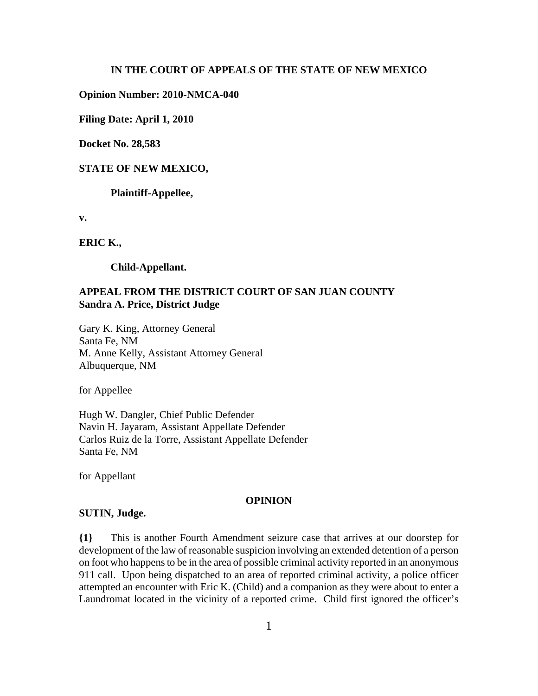### **IN THE COURT OF APPEALS OF THE STATE OF NEW MEXICO**

### **Opinion Number: 2010-NMCA-040**

**Filing Date: April 1, 2010**

**Docket No. 28,583**

### **STATE OF NEW MEXICO,**

**Plaintiff-Appellee,**

**v.**

**ERIC K.,**

**Child-Appellant.**

### **APPEAL FROM THE DISTRICT COURT OF SAN JUAN COUNTY Sandra A. Price, District Judge**

Gary K. King, Attorney General Santa Fe, NM M. Anne Kelly, Assistant Attorney General Albuquerque, NM

for Appellee

Hugh W. Dangler, Chief Public Defender Navin H. Jayaram, Assistant Appellate Defender Carlos Ruiz de la Torre, Assistant Appellate Defender Santa Fe, NM

for Appellant

#### **OPINION**

#### **SUTIN, Judge.**

**{1}** This is another Fourth Amendment seizure case that arrives at our doorstep for development of the law of reasonable suspicion involving an extended detention of a person on foot who happens to be in the area of possible criminal activity reported in an anonymous 911 call. Upon being dispatched to an area of reported criminal activity, a police officer attempted an encounter with Eric K. (Child) and a companion as they were about to enter a Laundromat located in the vicinity of a reported crime. Child first ignored the officer's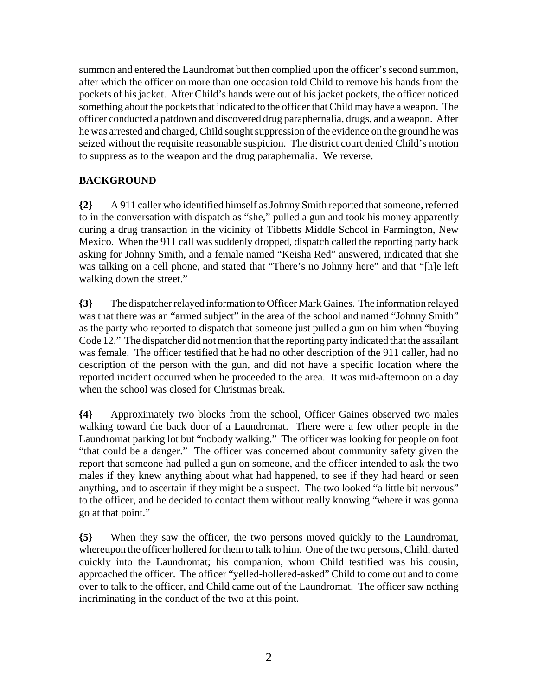summon and entered the Laundromat but then complied upon the officer's second summon, after which the officer on more than one occasion told Child to remove his hands from the pockets of his jacket. After Child's hands were out of his jacket pockets, the officer noticed something about the pockets that indicated to the officer that Child may have a weapon. The officer conducted a patdown and discovered drug paraphernalia, drugs, and a weapon. After he was arrested and charged, Child sought suppression of the evidence on the ground he was seized without the requisite reasonable suspicion. The district court denied Child's motion to suppress as to the weapon and the drug paraphernalia. We reverse.

# **BACKGROUND**

**{2}** A 911 caller who identified himself as Johnny Smith reported that someone, referred to in the conversation with dispatch as "she," pulled a gun and took his money apparently during a drug transaction in the vicinity of Tibbetts Middle School in Farmington, New Mexico. When the 911 call was suddenly dropped, dispatch called the reporting party back asking for Johnny Smith, and a female named "Keisha Red" answered, indicated that she was talking on a cell phone, and stated that "There's no Johnny here" and that "[h]e left walking down the street."

**{3}** The dispatcher relayed information to Officer Mark Gaines. The information relayed was that there was an "armed subject" in the area of the school and named "Johnny Smith" as the party who reported to dispatch that someone just pulled a gun on him when "buying Code 12." The dispatcher did not mention that the reporting party indicated that the assailant was female. The officer testified that he had no other description of the 911 caller, had no description of the person with the gun, and did not have a specific location where the reported incident occurred when he proceeded to the area. It was mid-afternoon on a day when the school was closed for Christmas break.

**{4}** Approximately two blocks from the school, Officer Gaines observed two males walking toward the back door of a Laundromat. There were a few other people in the Laundromat parking lot but "nobody walking." The officer was looking for people on foot "that could be a danger." The officer was concerned about community safety given the report that someone had pulled a gun on someone, and the officer intended to ask the two males if they knew anything about what had happened, to see if they had heard or seen anything, and to ascertain if they might be a suspect. The two looked "a little bit nervous" to the officer, and he decided to contact them without really knowing "where it was gonna go at that point."

**{5}** When they saw the officer, the two persons moved quickly to the Laundromat, whereupon the officer hollered for them to talk to him. One of the two persons, Child, darted quickly into the Laundromat; his companion, whom Child testified was his cousin, approached the officer. The officer "yelled-hollered-asked" Child to come out and to come over to talk to the officer, and Child came out of the Laundromat. The officer saw nothing incriminating in the conduct of the two at this point.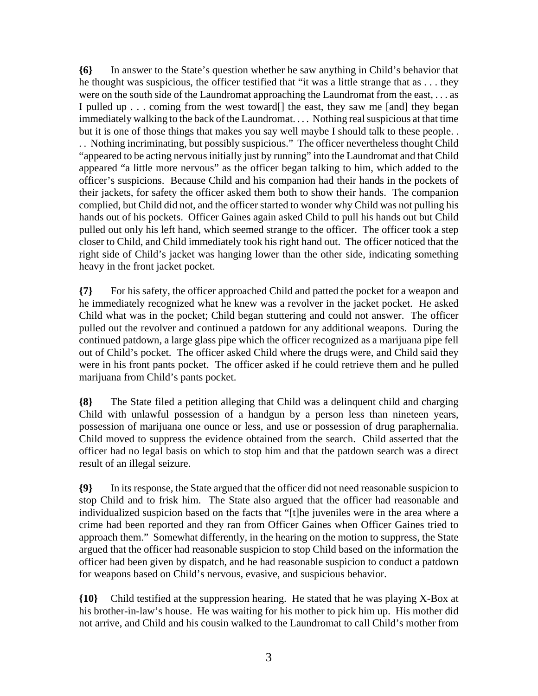**{6}** In answer to the State's question whether he saw anything in Child's behavior that he thought was suspicious, the officer testified that "it was a little strange that as . . . they were on the south side of the Laundromat approaching the Laundromat from the east, . . . as I pulled up . . . coming from the west toward<sup>[]</sup> the east, they saw me [and] they began immediately walking to the back of the Laundromat. . . . Nothing real suspicious at that time but it is one of those things that makes you say well maybe I should talk to these people. .

. . Nothing incriminating, but possibly suspicious." The officer nevertheless thought Child "appeared to be acting nervous initially just by running" into the Laundromat and that Child appeared "a little more nervous" as the officer began talking to him, which added to the officer's suspicions. Because Child and his companion had their hands in the pockets of their jackets, for safety the officer asked them both to show their hands. The companion complied, but Child did not, and the officer started to wonder why Child was not pulling his hands out of his pockets. Officer Gaines again asked Child to pull his hands out but Child pulled out only his left hand, which seemed strange to the officer. The officer took a step closer to Child, and Child immediately took his right hand out. The officer noticed that the right side of Child's jacket was hanging lower than the other side, indicating something heavy in the front jacket pocket.

**{7}** For his safety, the officer approached Child and patted the pocket for a weapon and he immediately recognized what he knew was a revolver in the jacket pocket. He asked Child what was in the pocket; Child began stuttering and could not answer. The officer pulled out the revolver and continued a patdown for any additional weapons. During the continued patdown, a large glass pipe which the officer recognized as a marijuana pipe fell out of Child's pocket. The officer asked Child where the drugs were, and Child said they were in his front pants pocket. The officer asked if he could retrieve them and he pulled marijuana from Child's pants pocket.

**{8}** The State filed a petition alleging that Child was a delinquent child and charging Child with unlawful possession of a handgun by a person less than nineteen years, possession of marijuana one ounce or less, and use or possession of drug paraphernalia. Child moved to suppress the evidence obtained from the search. Child asserted that the officer had no legal basis on which to stop him and that the patdown search was a direct result of an illegal seizure.

**{9}** In its response, the State argued that the officer did not need reasonable suspicion to stop Child and to frisk him. The State also argued that the officer had reasonable and individualized suspicion based on the facts that "[t]he juveniles were in the area where a crime had been reported and they ran from Officer Gaines when Officer Gaines tried to approach them." Somewhat differently, in the hearing on the motion to suppress, the State argued that the officer had reasonable suspicion to stop Child based on the information the officer had been given by dispatch, and he had reasonable suspicion to conduct a patdown for weapons based on Child's nervous, evasive, and suspicious behavior.

**{10}** Child testified at the suppression hearing. He stated that he was playing X-Box at his brother-in-law's house. He was waiting for his mother to pick him up. His mother did not arrive, and Child and his cousin walked to the Laundromat to call Child's mother from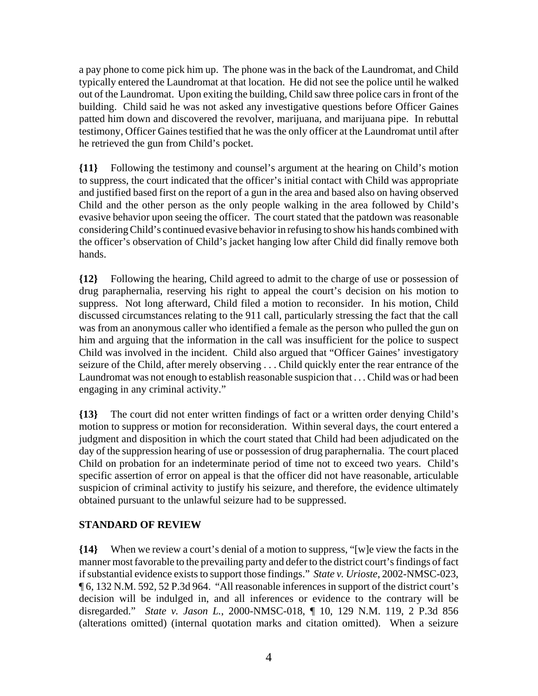a pay phone to come pick him up. The phone was in the back of the Laundromat, and Child typically entered the Laundromat at that location. He did not see the police until he walked out of the Laundromat. Upon exiting the building, Child saw three police cars in front of the building. Child said he was not asked any investigative questions before Officer Gaines patted him down and discovered the revolver, marijuana, and marijuana pipe. In rebuttal testimony, Officer Gaines testified that he was the only officer at the Laundromat until after he retrieved the gun from Child's pocket.

**{11}** Following the testimony and counsel's argument at the hearing on Child's motion to suppress, the court indicated that the officer's initial contact with Child was appropriate and justified based first on the report of a gun in the area and based also on having observed Child and the other person as the only people walking in the area followed by Child's evasive behavior upon seeing the officer. The court stated that the patdown was reasonable considering Child's continued evasive behavior in refusing to show his hands combined with the officer's observation of Child's jacket hanging low after Child did finally remove both hands.

**{12}** Following the hearing, Child agreed to admit to the charge of use or possession of drug paraphernalia, reserving his right to appeal the court's decision on his motion to suppress. Not long afterward, Child filed a motion to reconsider. In his motion, Child discussed circumstances relating to the 911 call, particularly stressing the fact that the call was from an anonymous caller who identified a female as the person who pulled the gun on him and arguing that the information in the call was insufficient for the police to suspect Child was involved in the incident. Child also argued that "Officer Gaines' investigatory seizure of the Child, after merely observing . . . Child quickly enter the rear entrance of the Laundromat was not enough to establish reasonable suspicion that . . . Child was or had been engaging in any criminal activity."

**{13}** The court did not enter written findings of fact or a written order denying Child's motion to suppress or motion for reconsideration. Within several days, the court entered a judgment and disposition in which the court stated that Child had been adjudicated on the day of the suppression hearing of use or possession of drug paraphernalia. The court placed Child on probation for an indeterminate period of time not to exceed two years. Child's specific assertion of error on appeal is that the officer did not have reasonable, articulable suspicion of criminal activity to justify his seizure, and therefore, the evidence ultimately obtained pursuant to the unlawful seizure had to be suppressed.

# **STANDARD OF REVIEW**

**{14}** When we review a court's denial of a motion to suppress, "[w]e view the facts in the manner most favorable to the prevailing party and defer to the district court's findings of fact if substantial evidence exists to support those findings." *State v. Urioste*, 2002-NMSC-023, ¶ 6, 132 N.M. 592, 52 P.3d 964. "All reasonable inferences in support of the district court's decision will be indulged in, and all inferences or evidence to the contrary will be disregarded." *State v. Jason L.*, 2000-NMSC-018, ¶ 10, 129 N.M. 119, 2 P.3d 856 (alterations omitted) (internal quotation marks and citation omitted). When a seizure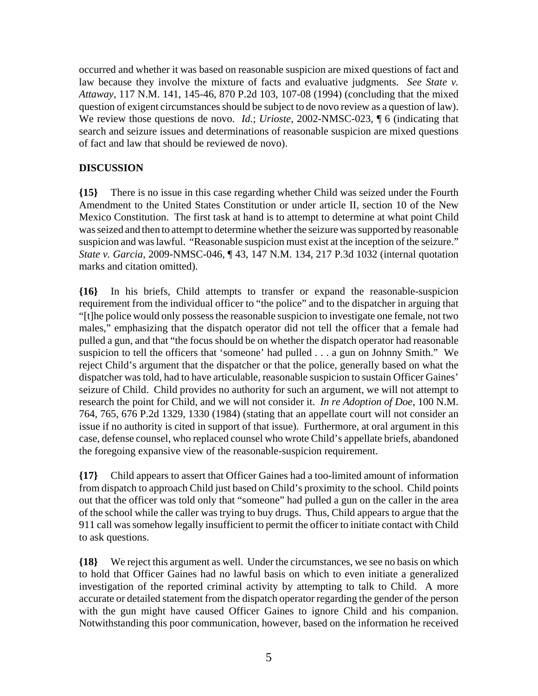occurred and whether it was based on reasonable suspicion are mixed questions of fact and law because they involve the mixture of facts and evaluative judgments. *See State v. Attaway*, 117 N.M. 141, 145-46, 870 P.2d 103, 107-08 (1994) (concluding that the mixed question of exigent circumstances should be subject to de novo review as a question of law). We review those questions de novo. *Id.*; *Urioste*, 2002-NMSC-023, ¶ 6 (indicating that search and seizure issues and determinations of reasonable suspicion are mixed questions of fact and law that should be reviewed de novo).

## **DISCUSSION**

**{15}** There is no issue in this case regarding whether Child was seized under the Fourth Amendment to the United States Constitution or under article II, section 10 of the New Mexico Constitution. The first task at hand is to attempt to determine at what point Child was seized and then to attempt to determine whether the seizure was supported by reasonable suspicion and was lawful. "Reasonable suspicion must exist at the inception of the seizure." *State v. Garcia*, 2009-NMSC-046, ¶ 43, 147 N.M. 134, 217 P.3d 1032 (internal quotation marks and citation omitted).

**{16}** In his briefs, Child attempts to transfer or expand the reasonable-suspicion requirement from the individual officer to "the police" and to the dispatcher in arguing that "[t]he police would only possess the reasonable suspicion to investigate one female, not two males," emphasizing that the dispatch operator did not tell the officer that a female had pulled a gun, and that "the focus should be on whether the dispatch operator had reasonable suspicion to tell the officers that 'someone' had pulled . . . a gun on Johnny Smith." We reject Child's argument that the dispatcher or that the police, generally based on what the dispatcher was told, had to have articulable, reasonable suspicion to sustain Officer Gaines' seizure of Child. Child provides no authority for such an argument, we will not attempt to research the point for Child, and we will not consider it. *In re Adoption of Doe*, 100 N.M. 764, 765, 676 P.2d 1329, 1330 (1984) (stating that an appellate court will not consider an issue if no authority is cited in support of that issue). Furthermore, at oral argument in this case, defense counsel, who replaced counsel who wrote Child's appellate briefs, abandoned the foregoing expansive view of the reasonable-suspicion requirement.

**{17}** Child appears to assert that Officer Gaines had a too-limited amount of information from dispatch to approach Child just based on Child's proximity to the school. Child points out that the officer was told only that "someone" had pulled a gun on the caller in the area of the school while the caller was trying to buy drugs. Thus, Child appears to argue that the 911 call was somehow legally insufficient to permit the officer to initiate contact with Child to ask questions.

**{18}** We reject this argument as well. Under the circumstances, we see no basis on which to hold that Officer Gaines had no lawful basis on which to even initiate a generalized investigation of the reported criminal activity by attempting to talk to Child. A more accurate or detailed statement from the dispatch operator regarding the gender of the person with the gun might have caused Officer Gaines to ignore Child and his companion. Notwithstanding this poor communication, however, based on the information he received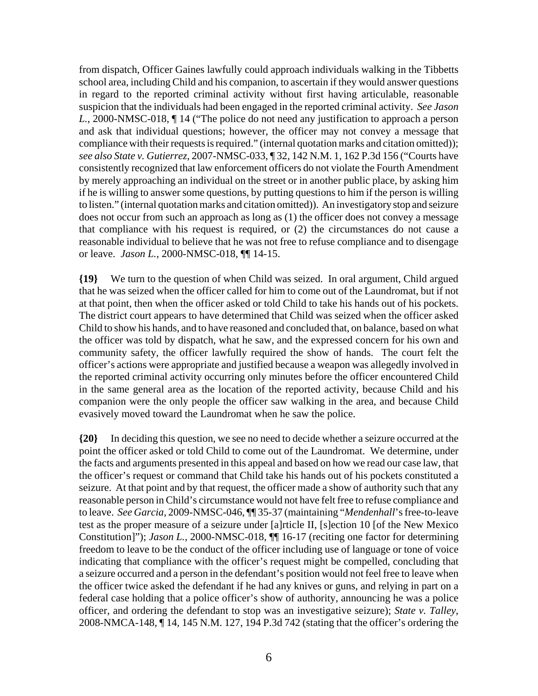from dispatch, Officer Gaines lawfully could approach individuals walking in the Tibbetts school area, including Child and his companion, to ascertain if they would answer questions in regard to the reported criminal activity without first having articulable, reasonable suspicion that the individuals had been engaged in the reported criminal activity. *See Jason L.*, 2000-NMSC-018, ¶ 14 ("The police do not need any justification to approach a person and ask that individual questions; however, the officer may not convey a message that compliance with their requests is required." (internal quotation marks and citation omitted)); *see also State v. Gutierrez*, 2007-NMSC-033, ¶ 32, 142 N.M. 1, 162 P.3d 156 ("Courts have consistently recognized that law enforcement officers do not violate the Fourth Amendment by merely approaching an individual on the street or in another public place, by asking him if he is willing to answer some questions, by putting questions to him if the person is willing to listen." (internal quotation marks and citation omitted)). An investigatory stop and seizure does not occur from such an approach as long as (1) the officer does not convey a message that compliance with his request is required, or (2) the circumstances do not cause a reasonable individual to believe that he was not free to refuse compliance and to disengage or leave. *Jason L.*, 2000-NMSC-018, ¶¶ 14-15.

**{19}** We turn to the question of when Child was seized. In oral argument, Child argued that he was seized when the officer called for him to come out of the Laundromat, but if not at that point, then when the officer asked or told Child to take his hands out of his pockets. The district court appears to have determined that Child was seized when the officer asked Child to show his hands, and to have reasoned and concluded that, on balance, based on what the officer was told by dispatch, what he saw, and the expressed concern for his own and community safety, the officer lawfully required the show of hands. The court felt the officer's actions were appropriate and justified because a weapon was allegedly involved in the reported criminal activity occurring only minutes before the officer encountered Child in the same general area as the location of the reported activity, because Child and his companion were the only people the officer saw walking in the area, and because Child evasively moved toward the Laundromat when he saw the police.

**{20}** In deciding this question, we see no need to decide whether a seizure occurred at the point the officer asked or told Child to come out of the Laundromat. We determine, under the facts and arguments presented in this appeal and based on how we read our case law, that the officer's request or command that Child take his hands out of his pockets constituted a seizure. At that point and by that request, the officer made a show of authority such that any reasonable person in Child's circumstance would not have felt free to refuse compliance and to leave. *See Garcia*, 2009-NMSC-046, ¶¶ 35-37 (maintaining "*Mendenhall*'s free-to-leave test as the proper measure of a seizure under [a]rticle II, [s]ection 10 [of the New Mexico Constitution]"); *Jason L.*, 2000-NMSC-018, ¶¶ 16-17 (reciting one factor for determining freedom to leave to be the conduct of the officer including use of language or tone of voice indicating that compliance with the officer's request might be compelled, concluding that a seizure occurred and a person in the defendant's position would not feel free to leave when the officer twice asked the defendant if he had any knives or guns, and relying in part on a federal case holding that a police officer's show of authority, announcing he was a police officer, and ordering the defendant to stop was an investigative seizure); *State v. Talley*, 2008-NMCA-148, ¶ 14, 145 N.M. 127, 194 P.3d 742 (stating that the officer's ordering the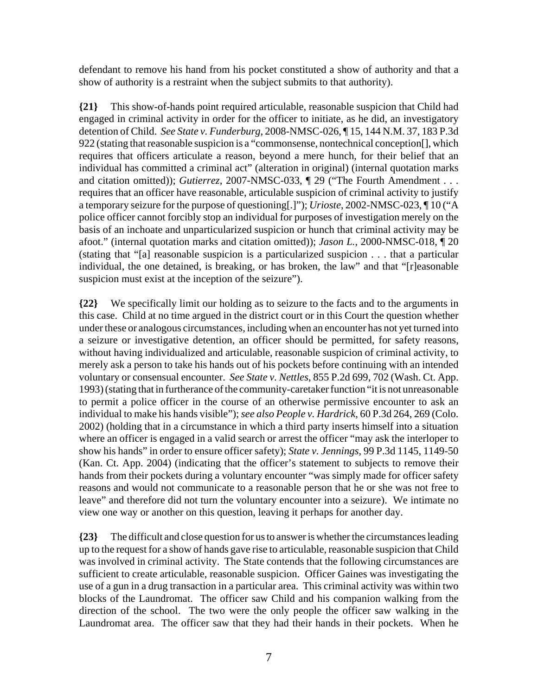defendant to remove his hand from his pocket constituted a show of authority and that a show of authority is a restraint when the subject submits to that authority).

**{21}** This show-of-hands point required articulable, reasonable suspicion that Child had engaged in criminal activity in order for the officer to initiate, as he did, an investigatory detention of Child. *See State v. Funderburg*, 2008-NMSC-026, ¶ 15, 144 N.M. 37, 183 P.3d 922 (stating that reasonable suspicion is a "commonsense, nontechnical conception[], which requires that officers articulate a reason, beyond a mere hunch, for their belief that an individual has committed a criminal act" (alteration in original) (internal quotation marks and citation omitted)); *Gutierrez*, 2007-NMSC-033, ¶ 29 ("The Fourth Amendment . . . requires that an officer have reasonable, articulable suspicion of criminal activity to justify a temporary seizure for the purpose of questioning[.]"); *Urioste*, 2002-NMSC-023, ¶ 10 ("A police officer cannot forcibly stop an individual for purposes of investigation merely on the basis of an inchoate and unparticularized suspicion or hunch that criminal activity may be afoot." (internal quotation marks and citation omitted)); *Jason L.*, 2000-NMSC-018, ¶ 20 (stating that "[a] reasonable suspicion is a particularized suspicion . . . that a particular individual, the one detained, is breaking, or has broken, the law" and that "[r]easonable suspicion must exist at the inception of the seizure").

**{22}** We specifically limit our holding as to seizure to the facts and to the arguments in this case. Child at no time argued in the district court or in this Court the question whether under these or analogous circumstances, including when an encounter has not yet turned into a seizure or investigative detention, an officer should be permitted, for safety reasons, without having individualized and articulable, reasonable suspicion of criminal activity, to merely ask a person to take his hands out of his pockets before continuing with an intended voluntary or consensual encounter. *See State v. Nettles*, 855 P.2d 699, 702 (Wash. Ct. App. 1993) (stating that in furtherance of the community-caretaker function "it is not unreasonable to permit a police officer in the course of an otherwise permissive encounter to ask an individual to make his hands visible"); *see also People v. Hardrick*, 60 P.3d 264, 269 (Colo. 2002) (holding that in a circumstance in which a third party inserts himself into a situation where an officer is engaged in a valid search or arrest the officer "may ask the interloper to show his hands" in order to ensure officer safety); *State v. Jennings*, 99 P.3d 1145, 1149-50 (Kan. Ct. App. 2004) (indicating that the officer's statement to subjects to remove their hands from their pockets during a voluntary encounter "was simply made for officer safety reasons and would not communicate to a reasonable person that he or she was not free to leave" and therefore did not turn the voluntary encounter into a seizure). We intimate no view one way or another on this question, leaving it perhaps for another day.

**{23}** The difficult and close question for us to answer is whether the circumstances leading up to the request for a show of hands gave rise to articulable, reasonable suspicion that Child was involved in criminal activity. The State contends that the following circumstances are sufficient to create articulable, reasonable suspicion. Officer Gaines was investigating the use of a gun in a drug transaction in a particular area. This criminal activity was within two blocks of the Laundromat. The officer saw Child and his companion walking from the direction of the school. The two were the only people the officer saw walking in the Laundromat area. The officer saw that they had their hands in their pockets. When he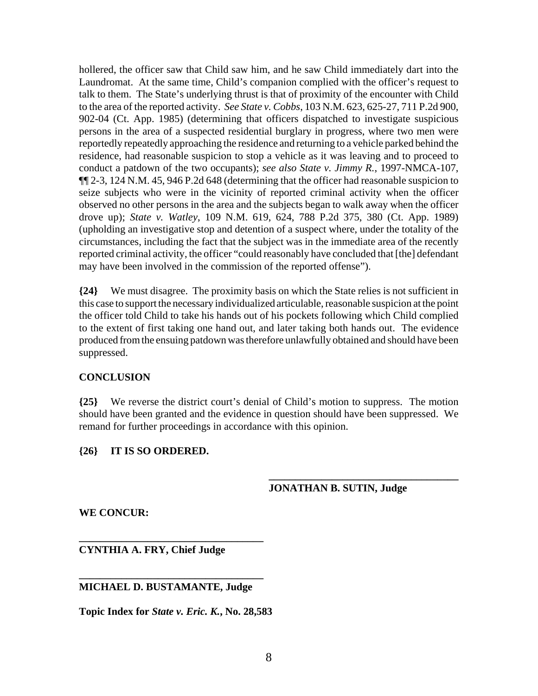hollered, the officer saw that Child saw him, and he saw Child immediately dart into the Laundromat. At the same time, Child's companion complied with the officer's request to talk to them. The State's underlying thrust is that of proximity of the encounter with Child to the area of the reported activity. *See State v. Cobbs*, 103 N.M. 623, 625-27, 711 P.2d 900, 902-04 (Ct. App. 1985) (determining that officers dispatched to investigate suspicious persons in the area of a suspected residential burglary in progress, where two men were reportedly repeatedly approaching the residence and returning to a vehicle parked behind the residence, had reasonable suspicion to stop a vehicle as it was leaving and to proceed to conduct a patdown of the two occupants); *see also State v. Jimmy R.*, 1997-NMCA-107, ¶¶ 2-3, 124 N.M. 45, 946 P.2d 648 (determining that the officer had reasonable suspicion to seize subjects who were in the vicinity of reported criminal activity when the officer observed no other persons in the area and the subjects began to walk away when the officer drove up); *State v. Watley*, 109 N.M. 619, 624, 788 P.2d 375, 380 (Ct. App. 1989) (upholding an investigative stop and detention of a suspect where, under the totality of the circumstances, including the fact that the subject was in the immediate area of the recently reported criminal activity, the officer "could reasonably have concluded that [the] defendant may have been involved in the commission of the reported offense").

**{24}** We must disagree. The proximity basis on which the State relies is not sufficient in this case to support the necessary individualized articulable, reasonable suspicion at the point the officer told Child to take his hands out of his pockets following which Child complied to the extent of first taking one hand out, and later taking both hands out. The evidence produced from the ensuing patdown was therefore unlawfully obtained and should have been suppressed.

## **CONCLUSION**

**{25}** We reverse the district court's denial of Child's motion to suppress. The motion should have been granted and the evidence in question should have been suppressed. We remand for further proceedings in accordance with this opinion.

## **{26} IT IS SO ORDERED.**

## **JONATHAN B. SUTIN, Judge**

**\_\_\_\_\_\_\_\_\_\_\_\_\_\_\_\_\_\_\_\_\_\_\_\_\_\_\_\_\_\_\_\_\_\_\_\_**

**WE CONCUR:**

**CYNTHIA A. FRY, Chief Judge**

### **\_\_\_\_\_\_\_\_\_\_\_\_\_\_\_\_\_\_\_\_\_\_\_\_\_\_\_\_\_\_\_\_\_\_\_ MICHAEL D. BUSTAMANTE, Judge**

**\_\_\_\_\_\_\_\_\_\_\_\_\_\_\_\_\_\_\_\_\_\_\_\_\_\_\_\_\_\_\_\_\_\_\_**

**Topic Index for** *State v. Eric. K.***, No. 28,583**